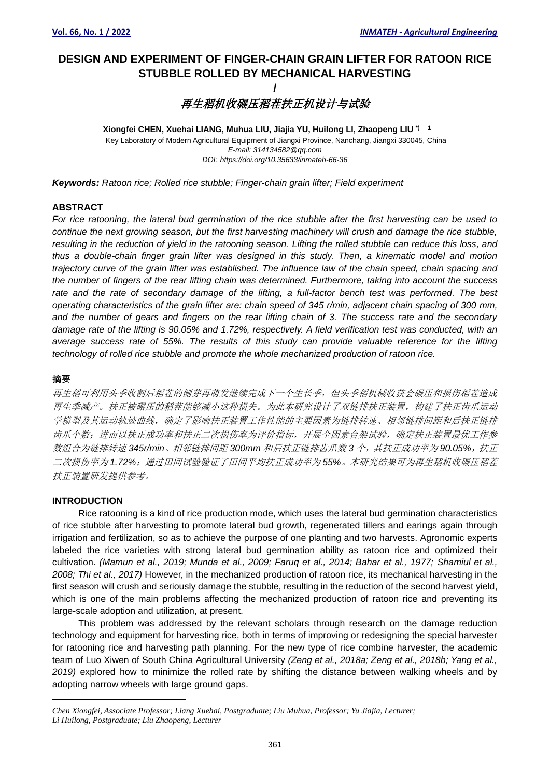# **DESIGN AND EXPERIMENT OF FINGER-CHAIN GRAIN LIFTER FOR RATOON RICE STUBBLE ROLLED BY MECHANICAL HARVESTING**

## **/** 再生稻机收碾压稻茬扶正机设计与试验

Key Laboratory of Modern Agricultural Equipment of Jiangxi Province, Nanchang, Jiangxi 330045, China *E-mail: 314134582@qq.com DOI: https://doi.org/10.35633/inmateh-66-36* **Xiongfei CHEN, Xuehai LIANG, Muhua LIU, Jiajia YU, Huilong LI, Zhaopeng LIU \*) 1** 

*Keywords: Ratoon rice; Rolled rice stubble; Finger-chain grain lifter; Field experiment*

#### **ABSTRACT**

*For rice ratooning, the lateral bud germination of the rice stubble after the first harvesting can be used to continue the next growing season, but the first harvesting machinery will crush and damage the rice stubble, resulting in the reduction of yield in the ratooning season. Lifting the rolled stubble can reduce this loss, and thus a double-chain finger grain lifter was designed in this study. Then, a kinematic model and motion trajectory curve of the grain lifter was established. The influence law of the chain speed, chain spacing and the number of fingers of the rear lifting chain was determined. Furthermore, taking into account the success rate and the rate of secondary damage of the lifting, a full-factor bench test was performed. The best operating characteristics of the grain lifter are: chain speed of 345 r/min, adjacent chain spacing of 300 mm, and the number of gears and fingers on the rear lifting chain of 3. The success rate and the secondary damage rate of the lifting is 90.05% and 1.72%, respectively. A field verification test was conducted, with an average success rate of 55%. The results of this study can provide valuable reference for the lifting technology of rolled rice stubble and promote the whole mechanized production of ratoon rice.*

### **摘要**

再生稻可利用头季收割后稻茬的侧芽再萌发继续完成下一个生长季,但头季稻机械收获会碾压和损伤稻茬造成 再生季减产。扶正被碾压的稻茬能够减小这种损失。为此本研究设计了双链排扶正装置,构建了扶正齿爪运动 学模型及其运动轨迹曲线,确定了影响扶正装置工作性能的主要因素为链排转速、相邻链排间距和后扶正链排 齿爪个数;进而以扶正成功率和扶正二次损伤率为评价指标,开展全因素台架试验,确定扶正装置最优工作参 数组合为链排转速 *345r/min*、相邻链排间距 *300mm* 和后扶正链排齿爪数 *3* 个,其扶正成功率为 *90.05%*,扶正 二次损伤率为1.72%;通过田间试验验证了田间平均扶正成功率为55%。本研究结果可为再生稻机收碾压稻茬 扶正装置研发提供参考。

### **INTRODUCTION**

Rice ratooning is a kind of rice production mode, which uses the lateral bud germination characteristics of rice stubble after harvesting to promote lateral bud growth, regenerated tillers and earings again through irrigation and fertilization, so as to achieve the purpose of one planting and two harvests. Agronomic experts labeled the rice varieties with strong lateral bud germination ability as ratoon rice and optimized their cultivation. *(Mamun et al., 2019; Munda et al., 2009; Faruq et al., 2014; Bahar et al., 1977; Shamiul et al., 2008; Thi et al., 2017)* However, in the mechanized production of ratoon rice, its mechanical harvesting in the first season will crush and seriously damage the stubble, resulting in the reduction of the second harvest yield, which is one of the main problems affecting the mechanized production of ratoon rice and preventing its large-scale adoption and utilization, at present.

This problem was addressed by the relevant scholars through research on the damage reduction technology and equipment for harvesting rice, both in terms of improving or redesigning the special harvester for ratooning rice and harvesting path planning. For the new type of rice combine harvester, the academic team of Luo Xiwen of South China Agricultural University *(Zeng et al., 2018a; Zeng et al., 2018b; Yang et al., 2019)* explored how to minimize the rolled rate by shifting the distance between walking wheels and by adopting narrow wheels with large ground gaps.

*Chen Xiongfei, Associate Professor; Liang Xuehai, Postgraduate; Liu Muhua, Professor; Yu Jiajia, Lecturer; Li Huilong, Postgraduate; Liu Zhaopeng, Lecturer*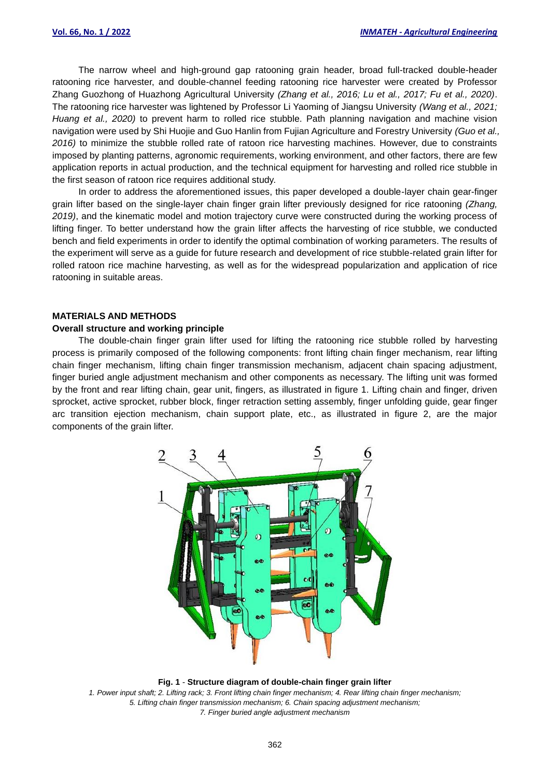The narrow wheel and high-ground gap ratooning grain header, broad full-tracked double-header ratooning rice harvester, and double-channel feeding ratooning rice harvester were created by Professor Zhang Guozhong of Huazhong Agricultural University *(Zhang et al., 2016; Lu et al., 2017; Fu et al., 2020)*. The ratooning rice harvester was lightened by Professor Li Yaoming of Jiangsu University *(Wang et al., 2021; Huang et al., 2020)* to prevent harm to rolled rice stubble. Path planning navigation and machine vision navigation were used by Shi Huojie and Guo Hanlin from Fujian Agriculture and Forestry University *(Guo et al., 2016)* to minimize the stubble rolled rate of ratoon rice harvesting machines. However, due to constraints imposed by planting patterns, agronomic requirements, working environment, and other factors, there are few application reports in actual production, and the technical equipment for harvesting and rolled rice stubble in the first season of ratoon rice requires additional study.

In order to address the aforementioned issues, this paper developed a double-layer chain gear-finger grain lifter based on the single-layer chain finger grain lifter previously designed for rice ratooning *(Zhang, 2019)*, and the kinematic model and motion trajectory curve were constructed during the working process of lifting finger. To better understand how the grain lifter affects the harvesting of rice stubble, we conducted bench and field experiments in order to identify the optimal combination of working parameters. The results of the experiment will serve as a guide for future research and development of rice stubble-related grain lifter for rolled ratoon rice machine harvesting, as well as for the widespread popularization and application of rice ratooning in suitable areas.

#### **MATERIALS AND METHODS**

#### **Overall structure and working principle**

The double-chain finger grain lifter used for lifting the ratooning rice stubble rolled by harvesting process is primarily composed of the following components: front lifting chain finger mechanism, rear lifting chain finger mechanism, lifting chain finger transmission mechanism, adjacent chain spacing adjustment, finger buried angle adjustment mechanism and other components as necessary. The lifting unit was formed by the front and rear lifting chain, gear unit, fingers, as illustrated in figure 1. Lifting chain and finger, driven sprocket, active sprocket, rubber block, finger retraction setting assembly, finger unfolding guide, gear finger arc transition ejection mechanism, chain support plate, etc., as illustrated in figure 2, are the major components of the grain lifter.



**Fig. 1** - **Structure diagram of double-chain finger grain lifter** *1. Power input shaft; 2. Lifting rack; 3. Front lifting chain finger mechanism; 4. Rear lifting chain finger mechanism; 5. Lifting chain finger transmission mechanism; 6. Chain spacing adjustment mechanism; 7. Finger buried angle adjustment mechanism*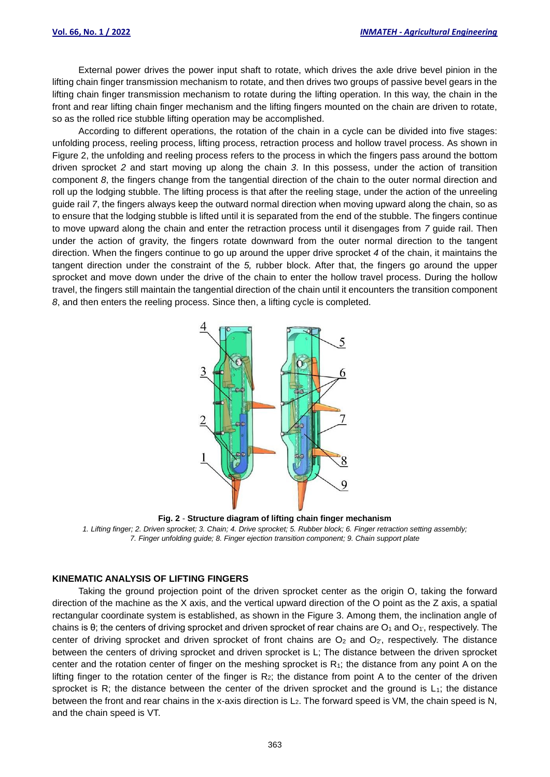External power drives the power input shaft to rotate, which drives the axle drive bevel pinion in the lifting chain finger transmission mechanism to rotate, and then drives two groups of passive bevel gears in the lifting chain finger transmission mechanism to rotate during the lifting operation. In this way, the chain in the front and rear lifting chain finger mechanism and the lifting fingers mounted on the chain are driven to rotate, so as the rolled rice stubble lifting operation may be accomplished.

According to different operations, the rotation of the chain in a cycle can be divided into five stages: unfolding process, reeling process, lifting process, retraction process and hollow travel process. As shown in Figure 2, the unfolding and reeling process refers to the process in which the fingers pass around the bottom driven sprocket *2* and start moving up along the chain *3*. In this possess, under the action of transition component *8*, the fingers change from the tangential direction of the chain to the outer normal direction and roll up the lodging stubble. The lifting process is that after the reeling stage, under the action of the unreeling guide rail *7*, the fingers always keep the outward normal direction when moving upward along the chain, so as to ensure that the lodging stubble is lifted until it is separated from the end of the stubble. The fingers continue to move upward along the chain and enter the retraction process until it disengages from *7* guide rail. Then under the action of gravity, the fingers rotate downward from the outer normal direction to the tangent direction. When the fingers continue to go up around the upper drive sprocket *4* of the chain, it maintains the tangent direction under the constraint of the *5,* rubber block. After that, the fingers go around the upper sprocket and move down under the drive of the chain to enter the hollow travel process. During the hollow travel, the fingers still maintain the tangential direction of the chain until it encounters the transition component *8*, and then enters the reeling process. Since then, a lifting cycle is completed.



**Fig. 2** - **Structure diagram of lifting chain finger mechanism** 

*1. Lifting finger; 2. Driven sprocket; 3. Chain; 4. Drive sprocket; 5. Rubber block; 6. Finger retraction setting assembly; 7. Finger unfolding guide; 8. Finger ejection transition component; 9. Chain support plate*

#### **KINEMATIC ANALYSIS OF LIFTING FINGERS**

Taking the ground projection point of the driven sprocket center as the origin O, taking the forward direction of the machine as the X axis, and the vertical upward direction of the O point as the Z axis, a spatial rectangular coordinate system is established, as shown in the Figure 3. Among them, the inclination angle of chains is  $\theta$ ; the centers of driving sprocket and driven sprocket of rear chains are  $O_1$  and  $O_1$ , respectively. The center of driving sprocket and driven sprocket of front chains are  $O<sub>2</sub>$  and  $O<sub>2'</sub>$ , respectively. The distance between the centers of driving sprocket and driven sprocket is L; The distance between the driven sprocket center and the rotation center of finger on the meshing sprocket is  $R_1$ ; the distance from any point A on the lifting finger to the rotation center of the finger is  $R_2$ ; the distance from point A to the center of the driven sprocket is R; the distance between the center of the driven sprocket and the ground is  $L_1$ ; the distance between the front and rear chains in the x-axis direction is L<sub>2</sub>. The forward speed is VM, the chain speed is N, and the chain speed is VT.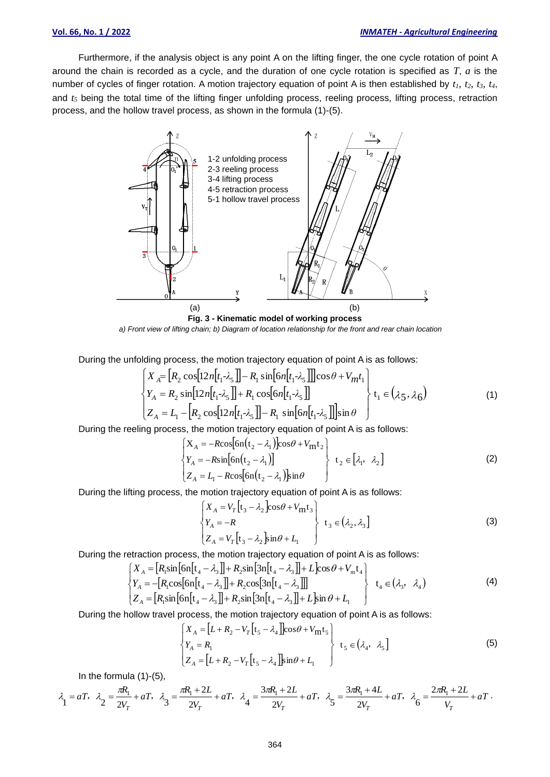Furthermore, if the analysis object is any point A on the lifting finger, the one cycle rotation of point A around the chain is recorded as a cycle, and the duration of one cycle rotation is specified as *T*, *a* is the number of cycles of finger rotation. A motion trajectory equation of point A is then established by *t1, t2, t3, t4*, and  $t<sub>5</sub>$  being the total time of the lifting finger unfolding process, reeling process, lifting process, retraction process, and the hollow travel process, as shown in the formula (1)-(5).



*a) Front view of lifting chain; b) Diagram of location relationship for the front and rear chain location*

During the unfolding process, the motion trajectory equation of point A is as follows:

$$
\begin{cases}\nX_A = [R_2 \cos[12n[t_1 - \lambda_5]] - R_1 \sin[6n[t_1 - \lambda_5]]] \cos \theta + V_{mt_1} \\
Y_A = R_2 \sin[12n[t_1 - \lambda_5]] + R_1 \cos[6n[t_1 - \lambda_5]] \\
Z_A = L_1 - [R_2 \cos[12n[t_1 - \lambda_5]] - R_1 \sin[6n[t_1 - \lambda_5]]] \sin \theta\n\end{cases} \quad t_1 \in (\lambda_5, \lambda_6)
$$
\n(1)

During the reeling process, the motion trajectory equation of point A is as follows:

$$
\begin{cases}\nX_A = -R\cos[6n(t_2 - \lambda_1)]\cos\theta + V_{\rm mt_2} \\
Y_A = -R\sin[6n(t_2 - \lambda_1)] \\
Z_A = L_1 - R\cos[6n(t_2 - \lambda_1)]\sin\theta\n\end{cases} \quad t_2 \in [\lambda_1, \lambda_2]
$$
\n(2)

During the lifting process, the motion trajectory equation of point A is as follows:

$$
\begin{cases}\nX_A = V_T \left[ t_3 - \lambda_2 \right] \cos \theta + V_m t_3 \\
Y_A = -R \\
Z_A = V_T \left[ t_3 - \lambda_2 \right] \sin \theta + L_1\n\end{cases} \quad t_3 \in (\lambda_2, \lambda_3]
$$
\n(3)

During the retraction process, the motion trajectory equation of point A is as follows:

$$
\begin{cases}\nX_A = [R_1 \sin \left[ \text{cn}[t_4 - \lambda_3] \right] + R_2 \sin \left[ 3\text{n}[t_4 - \lambda_3] \right] + L \cos \theta + V_m t_4 \\
Y_A = -[R_1 \cos \left[ \text{cn}[t_4 - \lambda_3] \right] + R_2 \cos \left[ 3\text{n}[t_4 - \lambda_3] \right]] \\
Z_A = [R_1 \sin \left[ \text{cn}[t_4 - \lambda_3] \right] + R_2 \sin \left[ 3\text{n}[t_4 - \lambda_3] \right] + L \sin \theta + L_1\n\end{cases} \quad t_4 \in (\lambda_3, \lambda_4)
$$
\n(4)

During the hollow travel process, the motion trajectory equation of point A is as follows:

$$
\begin{cases}\nX_A = [L + R_2 - V_T[t_5 - \lambda_4]]\cos\theta + V_{\rm mt}t_5 \\
Y_A = R_1 \\
Z_A = [L + R_2 - V_T[t_5 - \lambda_4]]\sin\theta + L_1\n\end{cases} \quad t_5 \in (\lambda_4, \lambda_5]
$$
\n(5)

In the formula (1)-(5),

$$
\lambda_1 = aT, \quad \lambda_2 = \frac{\pi R_1}{2V_T} + aT, \quad \lambda_3 = \frac{\pi R_1 + 2L}{2V_T} + aT, \quad \lambda_4 = \frac{3\pi R_1 + 2L}{2V_T} + aT, \quad \lambda_5 = \frac{3\pi R_1 + 4L}{2V_T} + aT, \quad \lambda_6 = \frac{2\pi R_1 + 2L}{V_T} + aT.
$$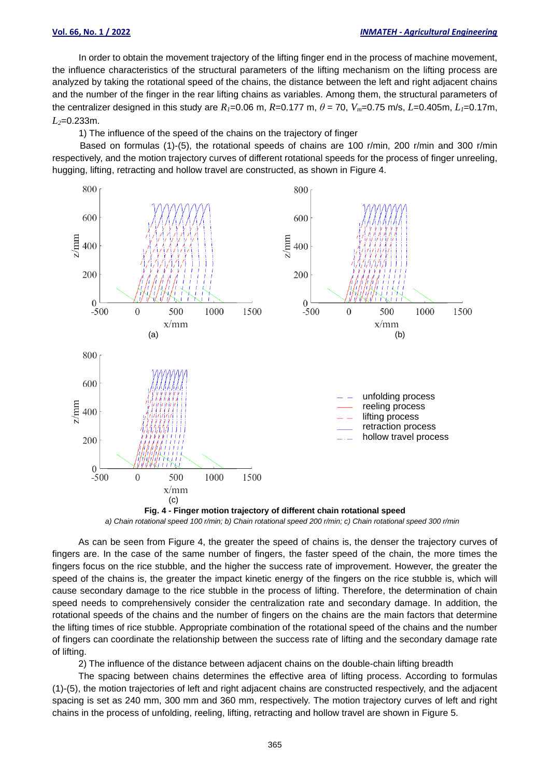In order to obtain the movement trajectory of the lifting finger end in the process of machine movement, the influence characteristics of the structural parameters of the lifting mechanism on the lifting process are analyzed by taking the rotational speed of the chains, the distance between the left and right adjacent chains and the number of the finger in the rear lifting chains as variables. Among them, the structural parameters of the centralizer designed in this study are  $R_1 = 0.06$  m,  $R = 0.177$  m,  $\theta = 70$ ,  $V_m = 0.75$  m/s,  $L = 0.405$ m,  $L_1 = 0.17$ m, *L2*=0.233m.

1) The influence of the speed of the chains on the trajectory of finger

Based on formulas (1)-(5), the rotational speeds of chains are 100 r/min, 200 r/min and 300 r/min respectively, and the motion trajectory curves of different rotational speeds for the process of finger unreeling, hugging, lifting, retracting and hollow travel are constructed, as shown in Figure 4.

![](_page_4_Figure_5.jpeg)

*a) Chain rotational speed 100 r/min; b) Chain rotational speed 200 r/min; c) Chain rotational speed 300 r/min*

As can be seen from Figure 4, the greater the speed of chains is, the denser the trajectory curves of fingers are. In the case of the same number of fingers, the faster speed of the chain, the more times the fingers focus on the rice stubble, and the higher the success rate of improvement. However, the greater the speed of the chains is, the greater the impact kinetic energy of the fingers on the rice stubble is, which will cause secondary damage to the rice stubble in the process of lifting. Therefore, the determination of chain speed needs to comprehensively consider the centralization rate and secondary damage. In addition, the rotational speeds of the chains and the number of fingers on the chains are the main factors that determine the lifting times of rice stubble. Appropriate combination of the rotational speed of the chains and the number of fingers can coordinate the relationship between the success rate of lifting and the secondary damage rate of lifting.

2) The influence of the distance between adjacent chains on the double-chain lifting breadth

The spacing between chains determines the effective area of lifting process. According to formulas (1)-(5), the motion trajectories of left and right adjacent chains are constructed respectively, and the adjacent spacing is set as 240 mm, 300 mm and 360 mm, respectively. The motion trajectory curves of left and right chains in the process of unfolding, reeling, lifting, retracting and hollow travel are shown in Figure 5.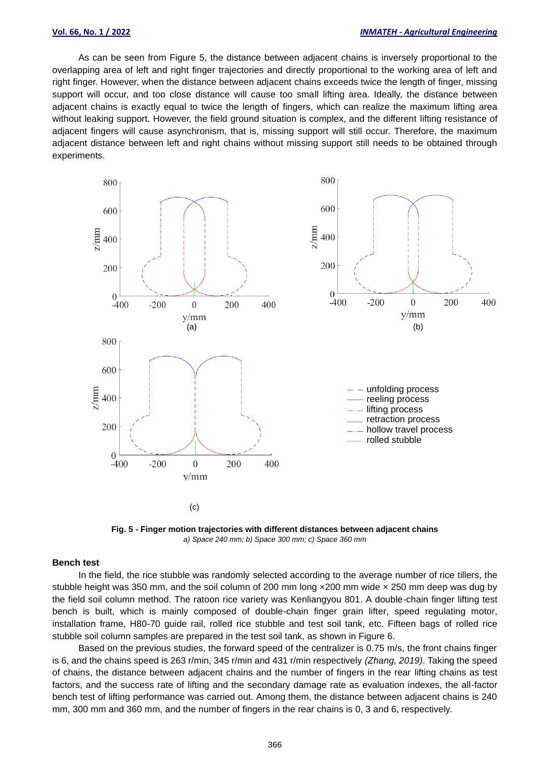As can be seen from Figure 5, the distance between adjacent chains is inversely proportional to the overlapping area of left and right finger trajectories and directly proportional to the working area of left and right finger. However, when the distance between adjacent chains exceeds twice the length of finger, missing support will occur, and too close distance will cause too small lifting area. Ideally, the distance between adjacent chains is exactly equal to twice the length of fingers, which can realize the maximum lifting area without leaking support. However, the field ground situation is complex, and the different lifting resistance of adjacent fingers will cause asynchronism, that is, missing support will still occur. Therefore, the maximum adjacent distance between left and right chains without missing support still needs to be obtained through experiments.

![](_page_5_Figure_3.jpeg)

**Fig. 5 - Finger motion trajectories with different distances between adjacent chains** *a) Space 240 mm; b) Space 300 mm; c) Space 360 mm*

#### **Bench test**

In the field, the rice stubble was randomly selected according to the average number of rice tillers, the stubble height was 350 mm, and the soil column of 200 mm long ×200 mm wide × 250 mm deep was dug by the field soil column method. The ratoon rice variety was Kenliangyou 801. A double-chain finger lifting test bench is built, which is mainly composed of double-chain finger grain lifter, speed regulating motor, installation frame, H80-70 guide rail, rolled rice stubble and test soil tank, etc. Fifteen bags of rolled rice stubble soil column samples are prepared in the test soil tank, as shown in Figure 6.

Based on the previous studies, the forward speed of the centralizer is 0.75 m/s, the front chains finger is 6, and the chains speed is 263 r/min, 345 r/min and 431 r/min respectively *(Zhang, 2019)*. Taking the speed of chains, the distance between adjacent chains and the number of fingers in the rear lifting chains as test factors, and the success rate of lifting and the secondary damage rate as evaluation indexes, the all-factor bench test of lifting performance was carried out. Among them, the distance between adjacent chains is 240 mm, 300 mm and 360 mm, and the number of fingers in the rear chains is 0, 3 and 6, respectively.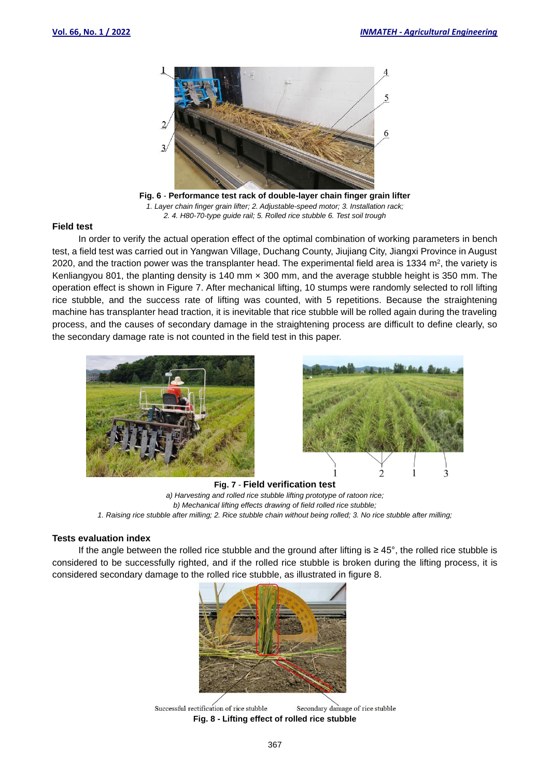![](_page_6_Picture_2.jpeg)

**Fig. 6** - **Performance test rack of double-layer chain finger grain lifter** *1. Layer chain finger grain lifter; 2. Adjustable-speed motor; 3. Installation rack; 2. 4. H80-70-type guide rail; 5. Rolled rice stubble 6. Test soil trough*

#### **Field test**

In order to verify the actual operation effect of the optimal combination of working parameters in bench test, a field test was carried out in Yangwan Village, Duchang County, Jiujiang City, Jiangxi Province in August 2020, and the traction power was the transplanter head. The experimental field area is 1334  $m^2$ , the variety is Kenliangyou 801, the planting density is 140 mm × 300 mm, and the average stubble height is 350 mm. The operation effect is shown in Figure 7. After mechanical lifting, 10 stumps were randomly selected to roll lifting rice stubble, and the success rate of lifting was counted, with 5 repetitions. Because the straightening machine has transplanter head traction, it is inevitable that rice stubble will be rolled again during the traveling process, and the causes of secondary damage in the straightening process are difficult to define clearly, so the secondary damage rate is not counted in the field test in this paper.

![](_page_6_Picture_6.jpeg)

![](_page_6_Picture_7.jpeg)

**Fig. 7** - **Field verification test** *a) Harvesting and rolled rice stubble lifting prototype of ratoon rice; b) Mechanical lifting effects drawing of field rolled rice stubble; 1. Raising rice stubble after milling; 2. Rice stubble chain without being rolled; 3. No rice stubble after milling;*

#### **Tests evaluation index**

If the angle between the rolled rice stubble and the ground after lifting is ≥ 45°, the rolled rice stubble is considered to be successfully righted, and if the rolled rice stubble is broken during the lifting process, it is considered secondary damage to the rolled rice stubble, as illustrated in figure 8.

![](_page_6_Picture_11.jpeg)

Successful rectification of rice stubble Secondary damage of rice stubble **Fig. 8 - Lifting effect of rolled rice stubble**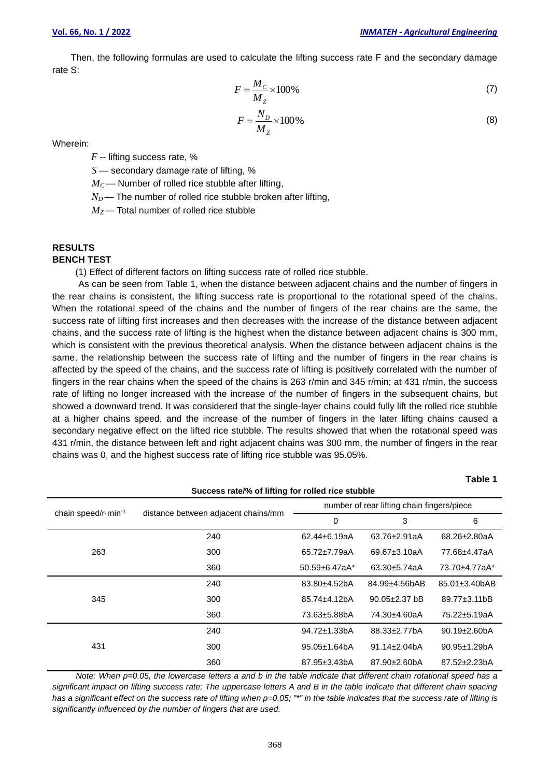**Table 1**

Then, the following formulas are used to calculate the lifting success rate F and the secondary damage rate S:

$$
F = \frac{M_C}{M_Z} \times 100\%
$$
 (7)

$$
F = \frac{N_D}{M_Z} \times 100\%
$$
\n(8)

Wherein:

*F* -- lifting success rate, %

*S* — secondary damage rate of lifting, %

 $M_C$ — Number of rolled rice stubble after lifting,

 $N_D$ — The number of rolled rice stubble broken after lifting,

 $M_Z$ — Total number of rolled rice stubble

# **RESULTS**

### **BENCH TEST**

(1) Effect of different factors on lifting success rate of rolled rice stubble.

As can be seen from Table 1, when the distance between adjacent chains and the number of fingers in the rear chains is consistent, the lifting success rate is proportional to the rotational speed of the chains. When the rotational speed of the chains and the number of fingers of the rear chains are the same, the success rate of lifting first increases and then decreases with the increase of the distance between adjacent chains, and the success rate of lifting is the highest when the distance between adjacent chains is 300 mm, which is consistent with the previous theoretical analysis. When the distance between adjacent chains is the same, the relationship between the success rate of lifting and the number of fingers in the rear chains is affected by the speed of the chains, and the success rate of lifting is positively correlated with the number of fingers in the rear chains when the speed of the chains is 263 r/min and 345 r/min; at 431 r/min, the success rate of lifting no longer increased with the increase of the number of fingers in the subsequent chains, but showed a downward trend. It was considered that the single-layer chains could fully lift the rolled rice stubble at a higher chains speed, and the increase of the number of fingers in the later lifting chains caused a secondary negative effect on the lifted rice stubble. The results showed that when the rotational speed was 431 r/min, the distance between left and right adjacent chains was 300 mm, the number of fingers in the rear chains was 0, and the highest success rate of lifting rice stubble was 95.05%.

| Success rate/% of lifting for rolled rice stubble |                                     |                                            |                     |                            |  |  |  |  |  |
|---------------------------------------------------|-------------------------------------|--------------------------------------------|---------------------|----------------------------|--|--|--|--|--|
|                                                   |                                     | number of rear lifting chain fingers/piece |                     |                            |  |  |  |  |  |
| chain speed/r-min-1                               | distance between adjacent chains/mm | 0                                          | 3                   | 6                          |  |  |  |  |  |
|                                                   | 240                                 | 62.44±6.19aA                               | 63.76±2.91aA        | 68.26±2.80aA               |  |  |  |  |  |
| 263                                               | 300                                 | 65.72±7.79aA                               | 69.67±3.10aA        | 77.68±4.47aA               |  |  |  |  |  |
|                                                   | 360                                 | $50.59 + 6.47aA*$                          | $63.30 + 5.74$ aA   | 73.70±4.77aA*              |  |  |  |  |  |
|                                                   | 240                                 | $83.80 + 4.52bA$                           | $84.99 + 4.56$ bAB  | $85.01 \pm 3.40$ bAB       |  |  |  |  |  |
| 345                                               | 300                                 | $85.74 \pm 4.12$ bA                        | $90.05 \pm 2.37$ bB | $89.77 \pm 3.11 \text{b}B$ |  |  |  |  |  |
|                                                   | 360                                 | 73.63±5.88bA                               | 74.30±4.60aA        | 75.22±5.19aA               |  |  |  |  |  |
|                                                   | 240                                 | $94.72 \pm 1.33$ bA                        | $88.33 \pm 2.77 bA$ | $90.19 \pm 2.60$ bA        |  |  |  |  |  |
| 431                                               | 300                                 | $95.05 \pm 1.64$ bA                        | $91.14 \pm 2.04$ bA | $90.95 \pm 1.29$ bA        |  |  |  |  |  |
|                                                   | 360                                 | 87.95±3.43bA                               | 87.90±2.60bA        | 87.52±2.23bA               |  |  |  |  |  |

*Note: When p=0.05, the lowercase letters a and b in the table indicate that different chain rotational speed has a significant impact on lifting success rate; The uppercase letters A and B in the table indicate that different chain spacing*  has a significant effect on the success rate of lifting when  $p=0.05$ ; "\*" in the table indicates that the success rate of lifting is *significantly influenced by the number of fingers that are used.*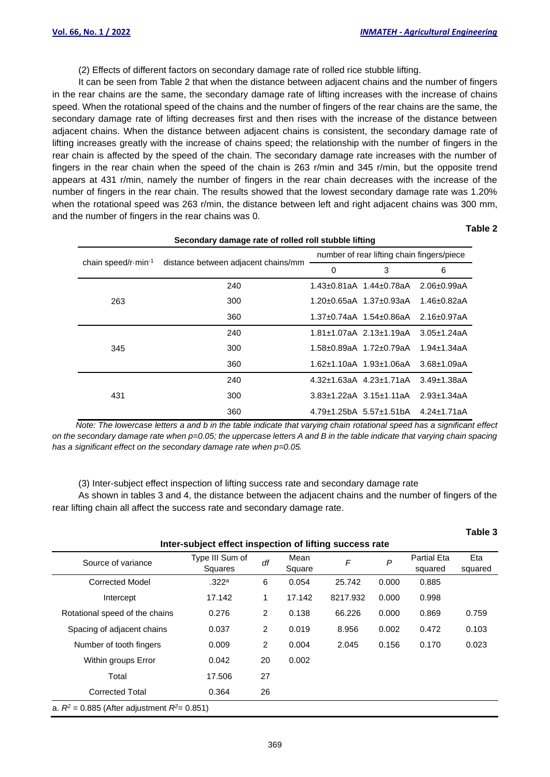(2) Effects of different factors on secondary damage rate of rolled rice stubble lifting.

It can be seen from Table 2 that when the distance between adjacent chains and the number of fingers in the rear chains are the same, the secondary damage rate of lifting increases with the increase of chains speed. When the rotational speed of the chains and the number of fingers of the rear chains are the same, the secondary damage rate of lifting decreases first and then rises with the increase of the distance between adjacent chains. When the distance between adjacent chains is consistent, the secondary damage rate of lifting increases greatly with the increase of chains speed; the relationship with the number of fingers in the rear chain is affected by the speed of the chain. The secondary damage rate increases with the number of fingers in the rear chain when the speed of the chain is 263 r/min and 345 r/min, but the opposite trend appears at 431 r/min, namely the number of fingers in the rear chain decreases with the increase of the number of fingers in the rear chain. The results showed that the lowest secondary damage rate was 1.20% when the rotational speed was 263 r/min, the distance between left and right adjacent chains was 300 mm, and the number of fingers in the rear chains was 0.

| ۰.<br>٠<br>ł<br>۰, |  |
|--------------------|--|
|--------------------|--|

| Secondary damage rate of rolled roll stubble lifting |                                     |                                            |                                       |                    |  |  |  |
|------------------------------------------------------|-------------------------------------|--------------------------------------------|---------------------------------------|--------------------|--|--|--|
| chain speed/r $\cdot$ min $^{-1}$                    | distance between adjacent chains/mm | number of rear lifting chain fingers/piece |                                       |                    |  |  |  |
|                                                      |                                     | 0                                          | 3                                     | 6                  |  |  |  |
|                                                      | 240                                 |                                            | 1.43±0.81aA 1.44±0.78aA               | $2.06 \pm 0.99$ aA |  |  |  |
| 263                                                  | 300                                 |                                            | $1.20\pm 0.65$ aA $1.37\pm 0.93$ aA   | $1.46 \pm 0.82$ aA |  |  |  |
|                                                      | 360                                 |                                            | $1.37\pm0.74$ aA $1.54\pm0.86$ aA     | $2.16 \pm 0.97$ aA |  |  |  |
|                                                      | 240                                 |                                            | $1.81 \pm 1.07$ aA 2.13 $\pm$ 1.19aA  | $3.05 \pm 1.24$ aA |  |  |  |
| 345                                                  | 300                                 |                                            | 1.58±0.89aA 1.72±0.79aA               | $1.94 + 1.34$ aA   |  |  |  |
|                                                      | 360                                 |                                            | $1.62 \pm 1.10$ aA $1.93 \pm 1.06$ aA | $3.68 + 1.09aA$    |  |  |  |
|                                                      | 240                                 |                                            | $4.32\pm1.63$ aA $4.23\pm1.71$ aA     | $3.49 + 1.38$ aA   |  |  |  |
| 431                                                  | 300                                 |                                            | $3.83 \pm 1.22$ aA $3.15 \pm 1.11$ aA | $2.93 + 1.34aA$    |  |  |  |
|                                                      | 360                                 |                                            | $4.79 \pm 1.25$ bA 5.57 $\pm$ 1.51bA  | $4.24 \pm 1.71$ aA |  |  |  |

*Note: The lowercase letters a and b in the table indicate that varying chain rotational speed has a significant effect on the secondary damage rate when p=0.05; the uppercase letters A and B in the table indicate that varying chain spacing has a significant effect on the secondary damage rate when p=0.05.* 

(3) Inter-subject effect inspection of lifting success rate and secondary damage rate

As shown in tables 3 and 4, the distance between the adjacent chains and the number of fingers of the rear lifting chain all affect the success rate and secondary damage rate.

|                                                   |                                                         |    |                |          |                  |                               | Table 3        |
|---------------------------------------------------|---------------------------------------------------------|----|----------------|----------|------------------|-------------------------------|----------------|
|                                                   | Inter-subject effect inspection of lifting success rate |    |                |          |                  |                               |                |
| Source of variance                                | Type III Sum of<br>Squares                              | df | Mean<br>Square | F        | $\boldsymbol{P}$ | <b>Partial Eta</b><br>squared | Eta<br>squared |
| <b>Corrected Model</b>                            | .322a                                                   | 6  | 0.054          | 25.742   | 0.000            | 0.885                         |                |
| Intercept                                         | 17.142                                                  | 1  | 17.142         | 8217.932 | 0.000            | 0.998                         |                |
| Rotational speed of the chains                    | 0.276                                                   | 2  | 0.138          | 66.226   | 0.000            | 0.869                         | 0.759          |
| Spacing of adjacent chains                        | 0.037                                                   | 2  | 0.019          | 8.956    | 0.002            | 0.472                         | 0.103          |
| Number of tooth fingers                           | 0.009                                                   | 2  | 0.004          | 2.045    | 0.156            | 0.170                         | 0.023          |
| Within groups Error                               | 0.042                                                   | 20 | 0.002          |          |                  |                               |                |
| Total                                             | 17.506                                                  | 27 |                |          |                  |                               |                |
| <b>Corrected Total</b>                            | 0.364                                                   | 26 |                |          |                  |                               |                |
| a. $R^2$ = 0.885 (After adjustment $R^2$ = 0.851) |                                                         |    |                |          |                  |                               |                |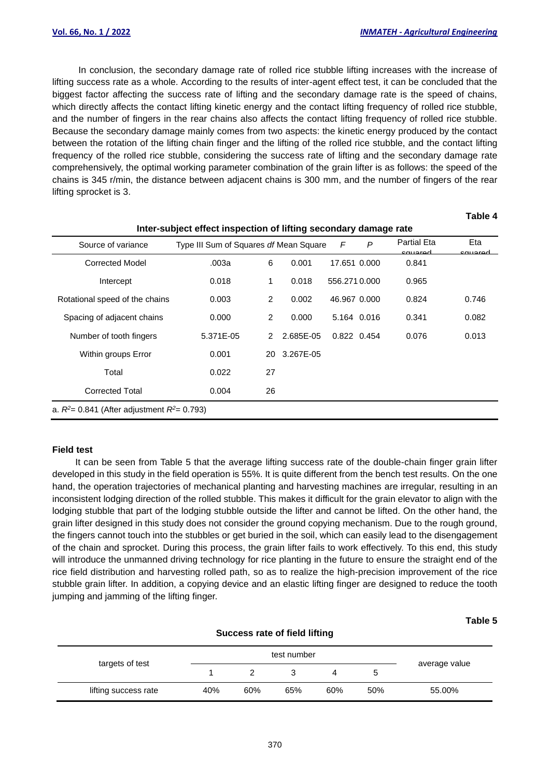In conclusion, the secondary damage rate of rolled rice stubble lifting increases with the increase of lifting success rate as a whole. According to the results of inter-agent effect test, it can be concluded that the biggest factor affecting the success rate of lifting and the secondary damage rate is the speed of chains, which directly affects the contact lifting kinetic energy and the contact lifting frequency of rolled rice stubble, and the number of fingers in the rear chains also affects the contact lifting frequency of rolled rice stubble. Because the secondary damage mainly comes from two aspects: the kinetic energy produced by the contact between the rotation of the lifting chain finger and the lifting of the rolled rice stubble, and the contact lifting frequency of the rolled rice stubble, considering the success rate of lifting and the secondary damage rate comprehensively, the optimal working parameter combination of the grain lifter is as follows: the speed of the chains is 345 r/min, the distance between adjacent chains is 300 mm, and the number of fingers of the rear lifting sprocket is 3.

#### **Table 4**

**Table 5**

| Inter-subject effect inspection of lifting secondary damage rate |                                               |    |           |              |   |                               |                |
|------------------------------------------------------------------|-----------------------------------------------|----|-----------|--------------|---|-------------------------------|----------------|
| Source of variance                                               | Type III Sum of Squares <i>df</i> Mean Square |    |           | F            | P | <b>Partial Eta</b><br>causrod | Eta<br>cauprad |
| <b>Corrected Model</b>                                           | .003a                                         | 6  | 0.001     | 17.651 0.000 |   | 0.841                         |                |
| Intercept                                                        | 0.018                                         | 1  | 0.018     | 556.2710.000 |   | 0.965                         |                |
| Rotational speed of the chains                                   | 0.003                                         | 2  | 0.002     | 46.967 0.000 |   | 0.824                         | 0.746          |
| Spacing of adjacent chains                                       | 0.000                                         | 2  | 0.000     | 5.164 0.016  |   | 0.341                         | 0.082          |
| Number of tooth fingers                                          | 5.371E-05                                     | 2  | 2.685E-05 | 0.822 0.454  |   | 0.076                         | 0.013          |
| Within groups Error                                              | 0.001                                         | 20 | 3.267E-05 |              |   |                               |                |
| Total                                                            | 0.022                                         | 27 |           |              |   |                               |                |
| <b>Corrected Total</b>                                           | 0.004                                         | 26 |           |              |   |                               |                |
| a. $R^2$ = 0.841 (After adjustment $R^2$ = 0.793)                |                                               |    |           |              |   |                               |                |

#### **Field test**

It can be seen from Table 5 that the average lifting success rate of the double-chain finger grain lifter developed in this study in the field operation is 55%. It is quite different from the bench test results. On the one hand, the operation trajectories of mechanical planting and harvesting machines are irregular, resulting in an inconsistent lodging direction of the rolled stubble. This makes it difficult for the grain elevator to align with the lodging stubble that part of the lodging stubble outside the lifter and cannot be lifted. On the other hand, the grain lifter designed in this study does not consider the ground copying mechanism. Due to the rough ground, the fingers cannot touch into the stubbles or get buried in the soil, which can easily lead to the disengagement of the chain and sprocket. During this process, the grain lifter fails to work effectively. To this end, this study will introduce the unmanned driving technology for rice planting in the future to ensure the straight end of the rice field distribution and harvesting rolled path, so as to realize the high-precision improvement of the rice stubble grain lifter. In addition, a copying device and an elastic lifting finger are designed to reduce the tooth jumping and jamming of the lifting finger.

| Success rate of field lifting |     |             |     |     |     |               |
|-------------------------------|-----|-------------|-----|-----|-----|---------------|
| targets of test               |     | test number |     |     |     |               |
|                               |     |             |     | 4   | b   | average value |
| lifting success rate          | 40% | 60%         | 65% | 60% | 50% | 55.00%        |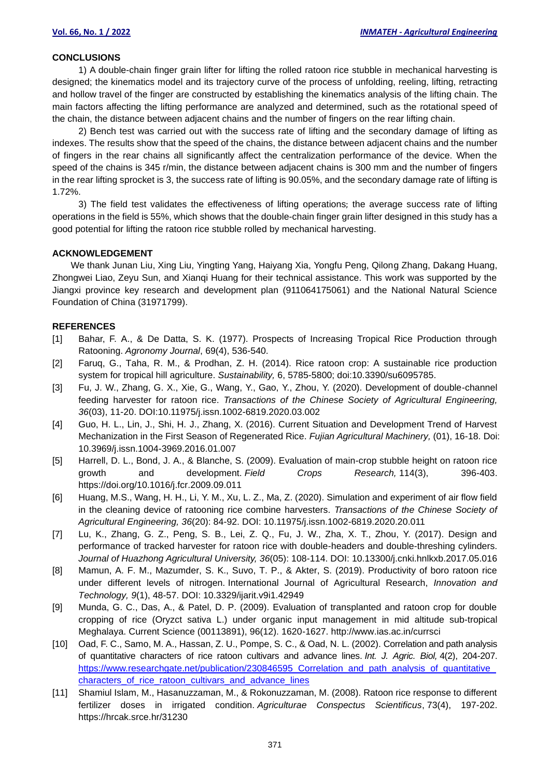#### **CONCLUSIONS**

1) A double-chain finger grain lifter for lifting the rolled ratoon rice stubble in mechanical harvesting is designed; the kinematics model and its trajectory curve of the process of unfolding, reeling, lifting, retracting and hollow travel of the finger are constructed by establishing the kinematics analysis of the lifting chain. The main factors affecting the lifting performance are analyzed and determined, such as the rotational speed of the chain, the distance between adjacent chains and the number of fingers on the rear lifting chain.

2) Bench test was carried out with the success rate of lifting and the secondary damage of lifting as indexes. The results show that the speed of the chains, the distance between adjacent chains and the number of fingers in the rear chains all significantly affect the centralization performance of the device. When the speed of the chains is 345 r/min, the distance between adjacent chains is 300 mm and the number of fingers in the rear lifting sprocket is 3, the success rate of lifting is 90.05%, and the secondary damage rate of lifting is 1.72%.

3) The field test validates the effectiveness of lifting operations; the average success rate of lifting operations in the field is 55%, which shows that the double-chain finger grain lifter designed in this study has a good potential for lifting the ratoon rice stubble rolled by mechanical harvesting.

#### **ACKNOWLEDGEMENT**

We thank Junan Liu, Xing Liu, Yingting Yang, Haiyang Xia, Yongfu Peng, Qilong Zhang, Dakang Huang, Zhongwei Liao, Zeyu Sun, and Xianqi Huang for their technical assistance. This work was supported by the Jiangxi province key research and development plan (911064175061) and the National Natural Science Foundation of China (31971799).

#### **REFERENCES**

- [1] Bahar, F. A., & De Datta, S. K. (1977). Prospects of Increasing Tropical Rice Production through Ratooning. *Agronomy Journal*, 69(4), 536-540.
- [2] Faruq, G., Taha, R. M., & Prodhan, Z. H. (2014). Rice ratoon crop: A sustainable rice production system for tropical hill agriculture. *Sustainability,* 6, 5785-5800; doi:10.3390/su6095785.
- [3] Fu, J. W., Zhang, G. X., Xie, G., Wang, Y., Gao, Y., Zhou, Y. (2020). Development of double-channel feeding harvester for ratoon rice. *Transactions of the Chinese Society of Agricultural Engineering, 36*(03), 11-20. DOI:10.11975/j.issn.1002-6819.2020.03.002
- [4] Guo, H. L., Lin, J., Shi, H. J., Zhang, X. (2016). Current Situation and Development Trend of Harvest Mechanization in the First Season of Regenerated Rice. *Fujian Agricultural Machinery,* (01), 16-18. Doi: 10.3969/j.issn.1004-3969.2016.01.007
- [5] Harrell, D. L., Bond, J. A., & Blanche, S. (2009). Evaluation of main-crop stubble height on ratoon rice growth and development. *Field Crops Research,* 114(3), 396-403. https://doi.org/10.1016/j.fcr.2009.09.011
- [6] Huang, M.S., Wang, H. H., Li, Y. M., Xu, L. Z., Ma, Z. (2020). Simulation and experiment of air flow field in the cleaning device of ratooning rice combine harvesters. *Transactions of the Chinese Society of Agricultural Engineering, 36*(20): 84-92. DOI: 10.11975/j.issn.1002-6819.2020.20.011
- [7] Lu, K., Zhang, G. Z., Peng, S. B., Lei, Z. Q., Fu, J. W., Zha, X. T., Zhou, Y. (2017). Design and performance of tracked harvester for ratoon rice with double-headers and double-threshing cylinders. *Journal of Huazhong Agricultural University, 36*(05): 108-114. DOI: 10.13300/j.cnki.hnlkxb.2017.05.016
- [8] Mamun, A. F. M., Mazumder, S. K., Suvo, T. P., & Akter, S. (2019). Productivity of boro ratoon rice under different levels of nitrogen. International Journal of Agricultural Research, *Innovation and Technology, 9*(1), 48-57. DOI: 10.3329/ijarit.v9i1.42949
- [9] Munda, G. C., Das, A., & Patel, D. P. (2009). Evaluation of transplanted and ratoon crop for double cropping of rice (Oryzct sativa L.) under organic input management in mid altitude sub-tropical Meghalaya. Current Science (00113891), 96(12). 1620-1627. http://www.ias.ac.in/currsci
- [10] Oad, F. C., Samo, M. A., Hassan, Z. U., Pompe, S. C., & Oad, N. L. (2002). Correlation and path analysis of quantitative characters of rice ratoon cultivars and advance lines. *Int. J. Agric. Biol,* 4(2), 204-207. [https://www.researchgate.net/publication/230846595\\_Correlation\\_and\\_path\\_analysis\\_of\\_quantitative\\_](https://www.researchgate.net/publication/230846595_Correlation_and_path_analysis_of_quantitative_characters_of_rice_ratoon_cultivars_and_advance_lines) [characters\\_of\\_rice\\_ratoon\\_cultivars\\_and\\_advance\\_lines](https://www.researchgate.net/publication/230846595_Correlation_and_path_analysis_of_quantitative_characters_of_rice_ratoon_cultivars_and_advance_lines)
- [11] Shamiul Islam, M., Hasanuzzaman, M., & Rokonuzzaman, M. (2008). Ratoon rice response to different fertilizer doses in irrigated condition. *Agriculturae Conspectus Scientificus*, 73(4), 197-202. https://hrcak.srce.hr/31230